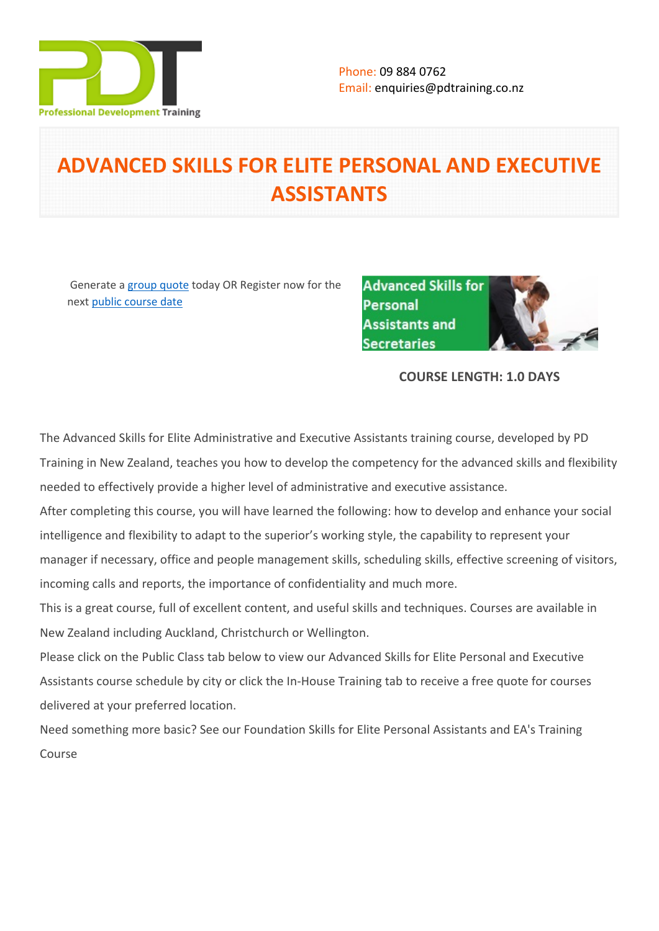

# **ADVANCED SKILLS FOR ELITE PERSONAL AND EXECUTIVE ASSISTANTS**

 Generate a [group quote](https://pdtraining.co.nz/inhouse-training-quote?cse=PDT002CTM) today OR Register now for the next [public course date](https://pdtraining.co.nz/booking?schedulecode=gHtKMHhTZbD4XvpXOTp50Da0Mb3oemZ47gpduEdsrlX1HTUbuTr3nAHNGD7KO2PNlI6QglCkP7NPQjs3r13u46RGIMH1GDNxGjP9We5jrhnqW26ykesX9uSp0zhENLNmtpjGDsgn5TdXTBUQPjQCk0&countryCode=NZ¤cyCode=NZ)

**Advanced Skills for Personal Assistants and Secretaries** 

# **COURSE LENGTH: 1.0 DAYS**

The Advanced Skills for Elite Administrative and Executive Assistants training course, developed by PD Training in New Zealand, teaches you how to develop the competency for the advanced skills and flexibility needed to effectively provide a higher level of administrative and executive assistance.

After completing this course, you will have learned the following: how to develop and enhance your social intelligence and flexibility to adapt to the superior's working style, the capability to represent your manager if necessary, office and people management skills, scheduling skills, effective screening of visitors, incoming calls and reports, the importance of confidentiality and much more.

This is a great course, full of excellent content, and useful skills and techniques. Courses are available in New Zealand including Auckland, Christchurch or Wellington.

Please click on the Public Class tab below to view our Advanced Skills for Elite Personal and Executive Assistants course schedule by city or click the In-House Training tab to receive a free quote for courses delivered at your preferred location.

Need something more basic? See our [Foundation Skills for Elite Personal Assistants and EA's Training](https://pdtraining.co.nz/courses/foundation-skills-for-personal-assistants-and-secretaries)  [Course](https://pdtraining.co.nz/courses/foundation-skills-for-personal-assistants-and-secretaries)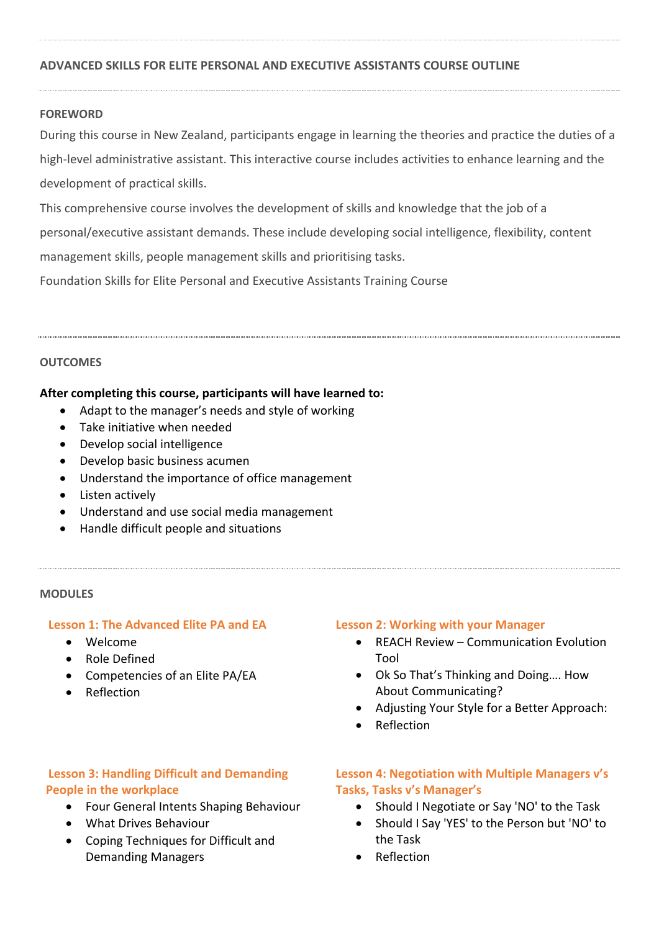# **ADVANCED SKILLS FOR ELITE PERSONAL AND EXECUTIVE ASSISTANTS COURSE OUTLINE**

### **FOREWORD**

During this course in New Zealand, participants engage in learning the theories and practice the duties of a high-level administrative assistant. This interactive course includes activities to enhance learning and the development of practical skills.

This comprehensive course involves the development of skills and knowledge that the job of a

personal/executive assistant demands. These include developing social intelligence, flexibility, content

management skills, people management skills and prioritising tasks.

[Foundation Skills for Elite Personal and Executive Assistants Training Course](https://pdtraining.co.nz/courses/foundation-skills-for-personal-assistants-and-secretaries) 

#### **OUTCOMES**

#### **After completing this course, participants will have learned to:**

- Adapt to the manager's needs and style of working
- Take initiative when needed
- Develop social intelligence
- Develop basic business acumen
- Understand the importance of office management
- Listen actively
- Understand and use social media management
- Handle difficult people and situations

#### **MODULES**

#### **Lesson 1: The Advanced Elite PA and EA**

- Welcome
- Role Defined
- Competencies of an Elite PA/EA
- Reflection

#### **Lesson 2: Working with your Manager**

- REACH Review Communication Evolution Tool
- Ok So That's Thinking and Doing…. How About Communicating?
- Adjusting Your Style for a Better Approach:
- Reflection

# **Lesson 3: Handling Difficult and Demanding People in the workplace**

- Four General Intents Shaping Behaviour
- What Drives Behaviour
- Coping Techniques for Difficult and Demanding Managers

# **Lesson 4: Negotiation with Multiple Managers v's Tasks, Tasks v's Manager's**

- Should I Negotiate or Say 'NO' to the Task
- Should I Say 'YES' to the Person but 'NO' to the Task
- Reflection